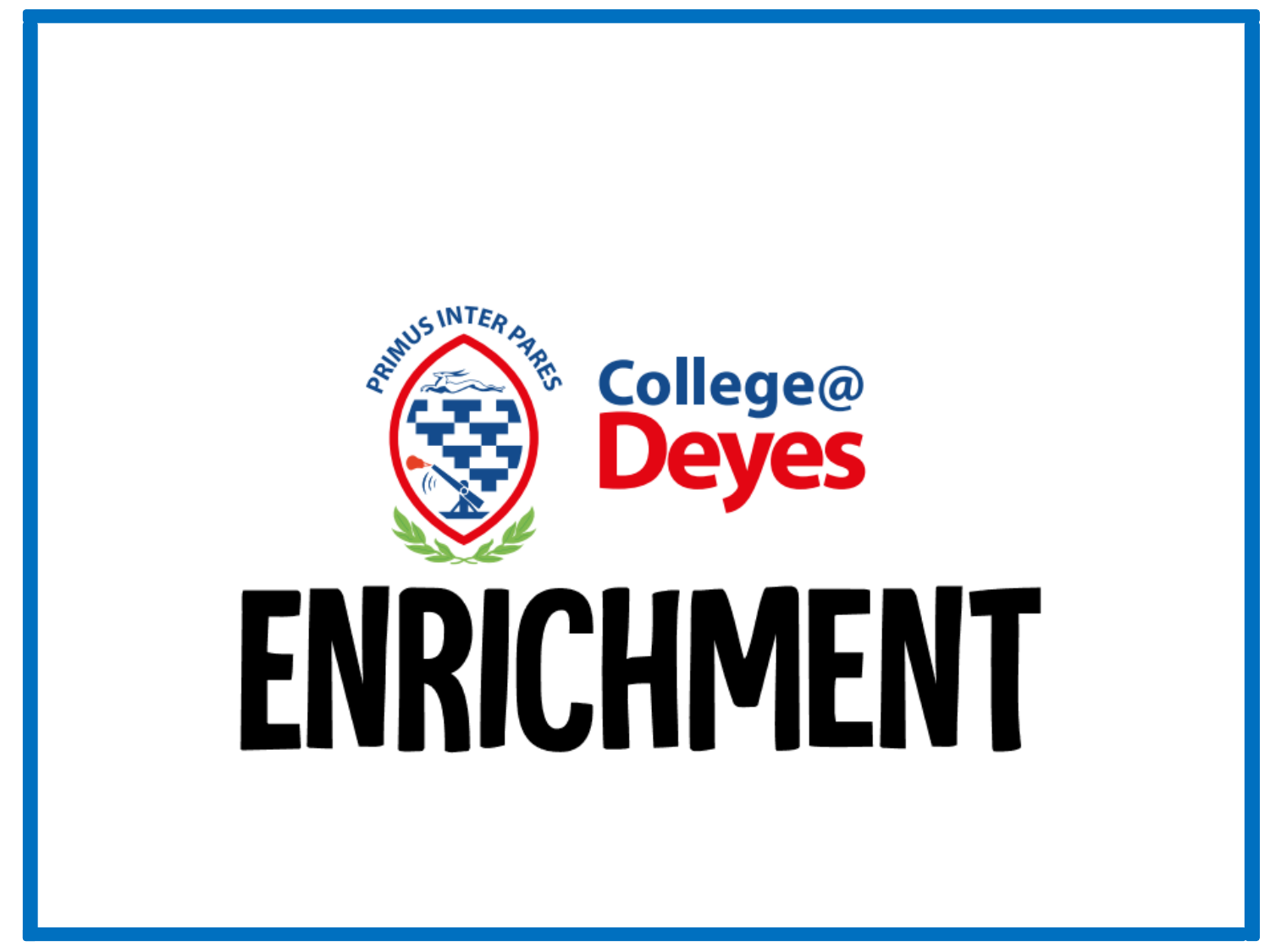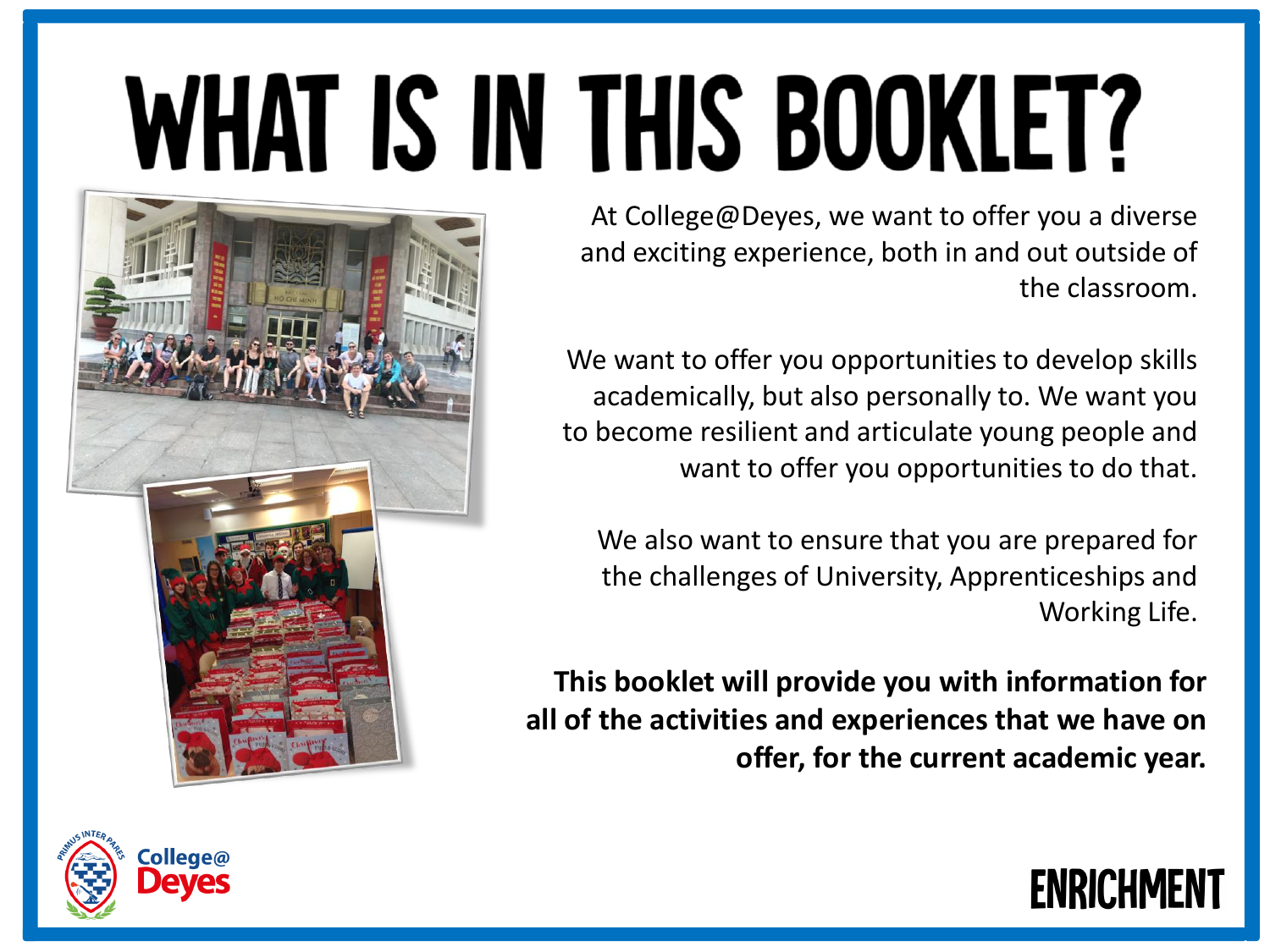## WHAT IS IN THIS BOOKLET?

At College@Deyes, we want to offer you a diverse and exciting experience, both in and out outside of the classroom.

We want to offer you opportunities to develop skills academically, but also personally to. We want you to become resilient and articulate young people and want to offer you opportunities to do that.

We also want to ensure that you are prepared for the challenges of University, Apprenticeships and Working Life.

**This booklet will provide you with information for all of the activities and experiences that we have on offer, for the current academic year.** 





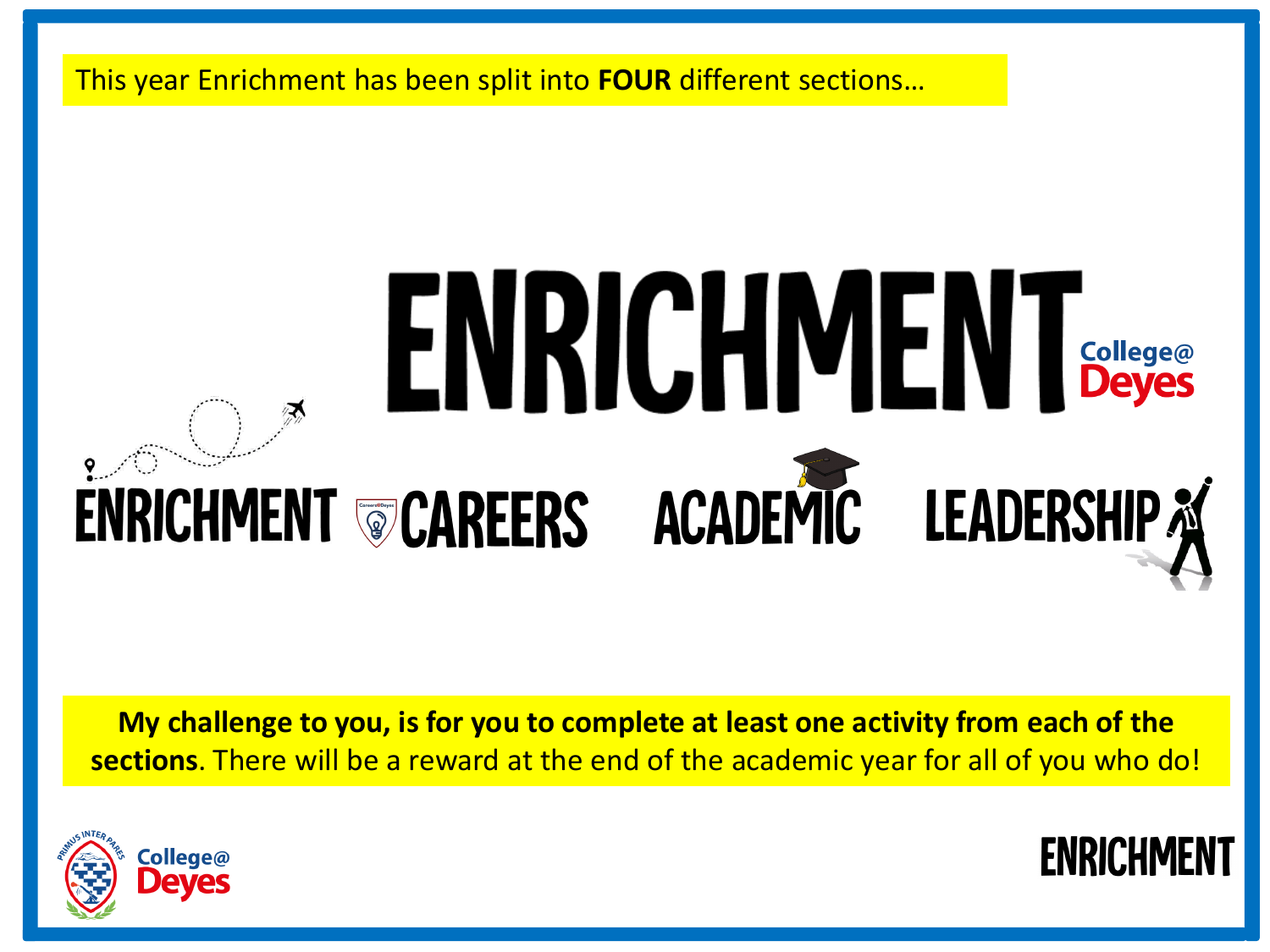

# ENRICHMENT ENRICHMENT CAREERS ACADEMIC LEADERSHIP

**My challenge to you, is for you to complete at least one activity from each of the sections**. There will be a reward at the end of the academic year for all of you who do!



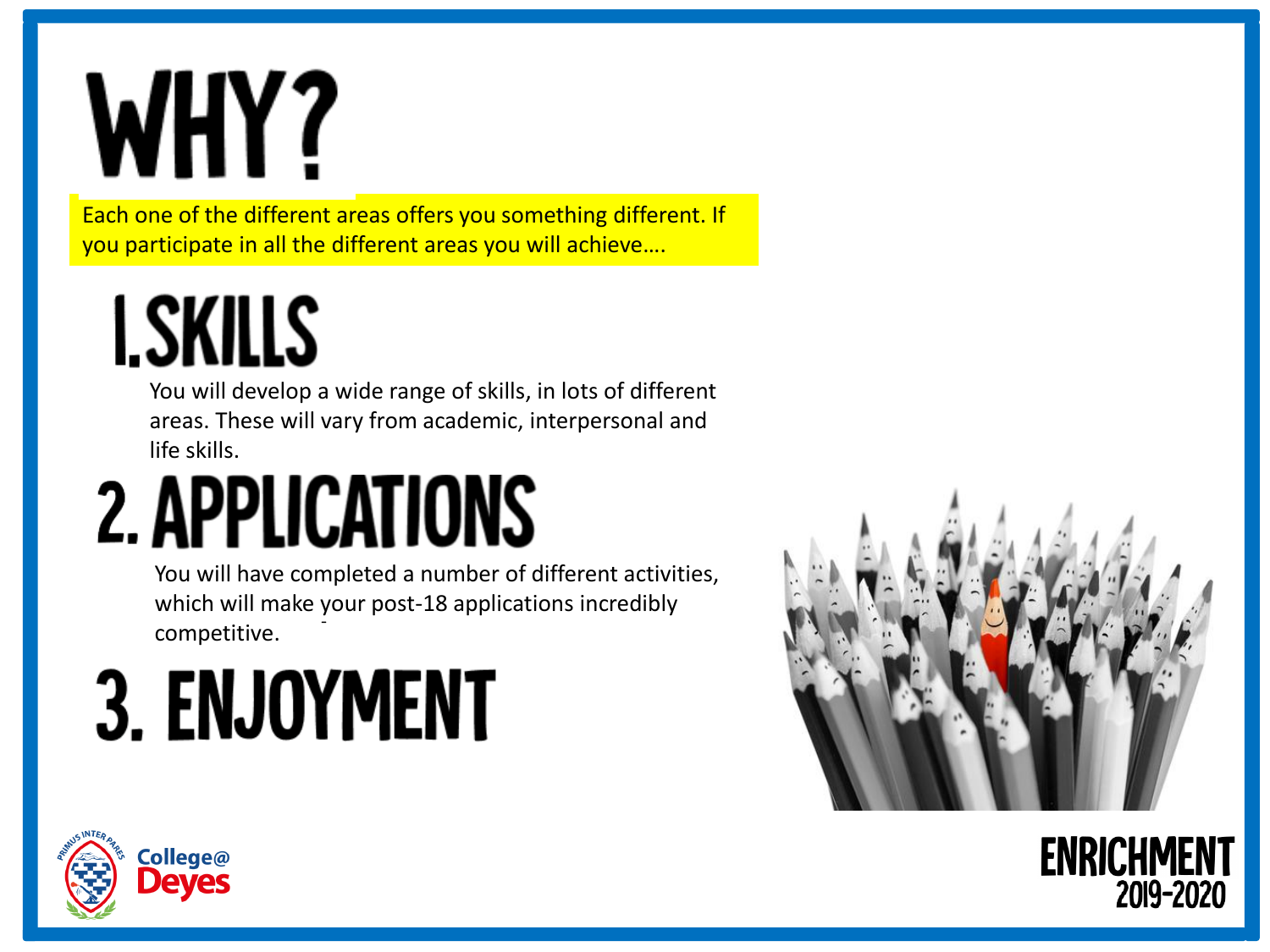# **WHY?**

Each one of the different areas offers you something different. If you participate in all the different areas you will achieve….

#### **I.SKILLS**

You will develop a wide range of skills, in lots of different areas. These will vary from academic, interpersonal and life skills.

#### 2. APPLICATIONS

- You will have completed a number of different activities, which will make your post-18 applications incredibly competitive.

### **3. ENJOYMENT**





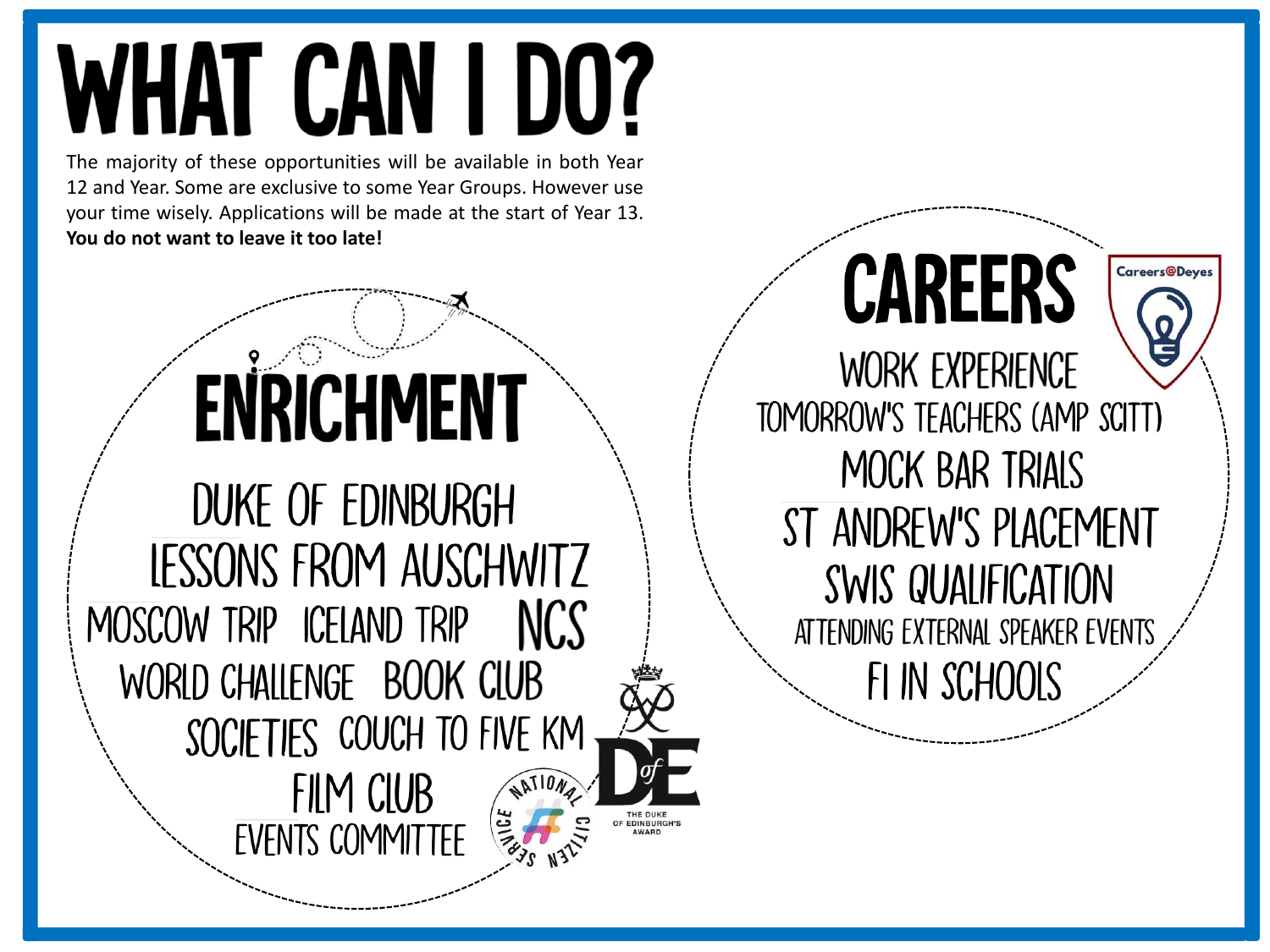### HAT CAN I DO?

The majority of these opportunities will be available in both Year 12 and Year. Some are exclusive to some Year Groups. However use your time wisely. Applications will be made at the start of Year 13. **You do not want to leave it too late!**

#### **ENRICHMENT** DUKE OF EDINBURGH

LESSONS FROM AUSCHWITZ **NCS** MOSCOW TRIP ICELAND TRIP WORLD CHALLENGE BOOK CLUB SOCIETIES COUCH TO FIVE KM **FILM CIUB** 

**EVENTS COMMITTEE** 

THE DUKE **EDINBURGH** 

**CAREERS Careers@Deyes WORK EXPERIENCE** TOMORROW'S TEACHERS (AMP SCITT) MOCK BAR TRIALS ST ANDREW'S PLACEMENT **SWIS QUALIFICATION** ATTENDING EXTERNAL SPEAKER EVENTS FI IN SCHOOLS